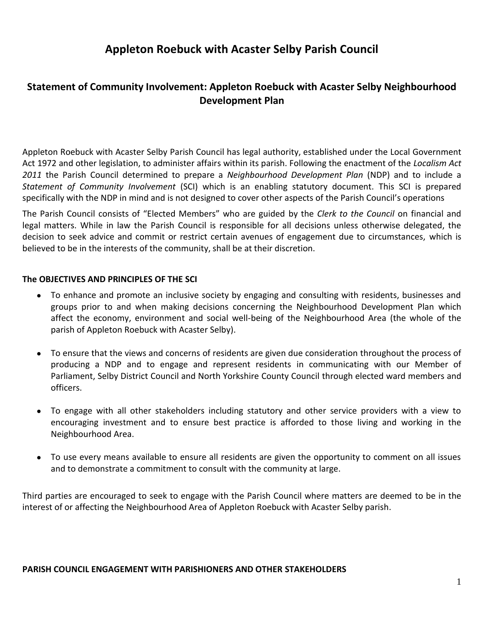# **Appleton Roebuck with Acaster Selby Parish Council**

# **Statement of Community Involvement: Appleton Roebuck with Acaster Selby Neighbourhood Development Plan**

Appleton Roebuck with Acaster Selby Parish Council has legal authority, established under the Local Government Act 1972 and other legislation, to administer affairs within its parish. Following the enactment of the *Localism Act 2011* the Parish Council determined to prepare a *Neighbourhood Development Plan* (NDP) and to include a *Statement of Community Involvement* (SCI) which is an enabling statutory document. This SCI is prepared specifically with the NDP in mind and is not designed to cover other aspects of the Parish Council's operations

The Parish Council consists of "Elected Members" who are guided by the *Clerk to the Council* on financial and legal matters. While in law the Parish Council is responsible for all decisions unless otherwise delegated, the decision to seek advice and commit or restrict certain avenues of engagement due to circumstances, which is believed to be in the interests of the community, shall be at their discretion.

#### **The OBJECTIVES AND PRINCIPLES OF THE SCI**

- To enhance and promote an inclusive society by engaging and consulting with residents, businesses and groups prior to and when making decisions concerning the Neighbourhood Development Plan which affect the economy, environment and social well-being of the Neighbourhood Area (the whole of the parish of Appleton Roebuck with Acaster Selby).
- To ensure that the views and concerns of residents are given due consideration throughout the process of producing a NDP and to engage and represent residents in communicating with our Member of Parliament, Selby District Council and North Yorkshire County Council through elected ward members and officers.
- To engage with all other stakeholders including statutory and other service providers with a view to encouraging investment and to ensure best practice is afforded to those living and working in the Neighbourhood Area.
- To use every means available to ensure all residents are given the opportunity to comment on all issues and to demonstrate a commitment to consult with the community at large.

Third parties are encouraged to seek to engage with the Parish Council where matters are deemed to be in the interest of or affecting the Neighbourhood Area of Appleton Roebuck with Acaster Selby parish.

#### **PARISH COUNCIL ENGAGEMENT WITH PARISHIONERS AND OTHER STAKEHOLDERS**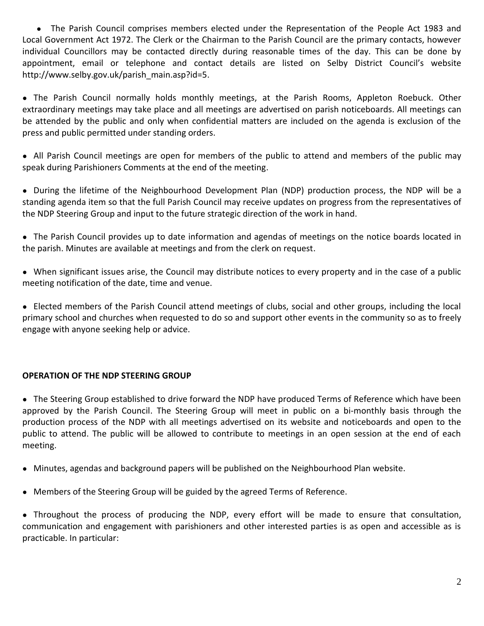● The Parish Council comprises members elected under the Representation of the People Act 1983 and Local Government Act 1972. The Clerk or the Chairman to the Parish Council are the primary contacts, however individual Councillors may be contacted directly during reasonable times of the day. This can be done by appointment, email or telephone and contact details are listed on Selby District Council's website http://www.selby.gov.uk/parish\_main.asp?id=5.

● The Parish Council normally holds monthly meetings, at the Parish Rooms, Appleton Roebuck. Other extraordinary meetings may take place and all meetings are advertised on parish noticeboards. All meetings can be attended by the public and only when confidential matters are included on the agenda is exclusion of the press and public permitted under standing orders.

● All Parish Council meetings are open for members of the public to attend and members of the public may speak during Parishioners Comments at the end of the meeting.

● During the lifetime of the Neighbourhood Development Plan (NDP) production process, the NDP will be a standing agenda item so that the full Parish Council may receive updates on progress from the representatives of the NDP Steering Group and input to the future strategic direction of the work in hand.

● The Parish Council provides up to date information and agendas of meetings on the notice boards located in the parish. Minutes are available at meetings and from the clerk on request.

● When significant issues arise, the Council may distribute notices to every property and in the case of a public meeting notification of the date, time and venue.

● Elected members of the Parish Council attend meetings of clubs, social and other groups, including the local primary school and churches when requested to do so and support other events in the community so as to freely engage with anyone seeking help or advice.

## **OPERATION OF THE NDP STEERING GROUP**

● The Steering Group established to drive forward the NDP have produced Terms of Reference which have been approved by the Parish Council. The Steering Group will meet in public on a bi-monthly basis through the production process of the NDP with all meetings advertised on its website and noticeboards and open to the public to attend. The public will be allowed to contribute to meetings in an open session at the end of each meeting.

- Minutes, agendas and background papers will be published on the Neighbourhood Plan website.
- Members of the Steering Group will be guided by the agreed Terms of Reference.

● Throughout the process of producing the NDP, every effort will be made to ensure that consultation, communication and engagement with parishioners and other interested parties is as open and accessible as is practicable. In particular: